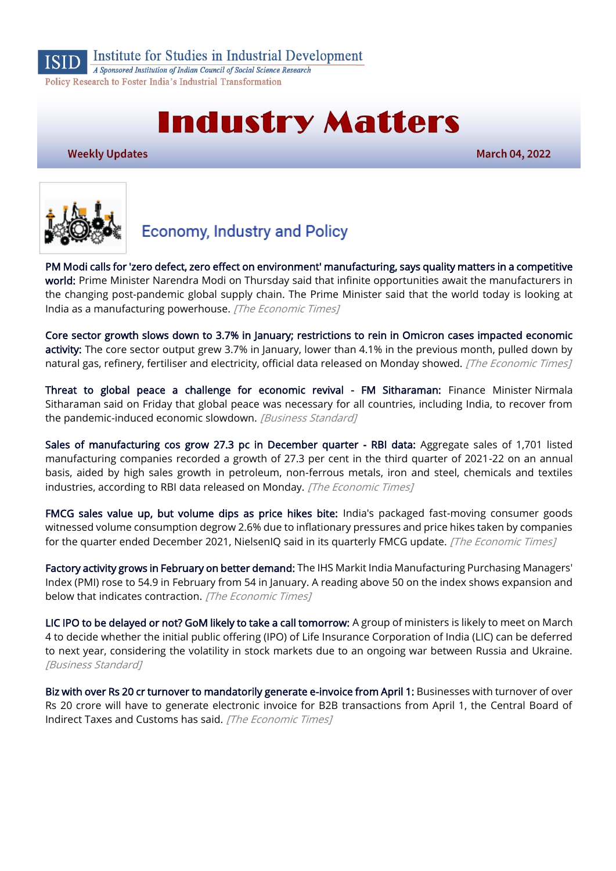

Institute for Studies in Industrial Development

A Sponsored Institution of Indian Council of Social Science Research Policy Research to Foster India's Industrial Transformation

# **Industry Matters**

**Weekly Updates** 

**March 04, 2022** 



# **Economy, Industry and Policy**

[PM Modi calls for 'zero defect, zero effect on environment' manufacturing, says quality matters in a competitive](https://economictimes.indiatimes.com/news/india/pm-modi-calls-for-zero-defect-zero-effect-on-environment-manufacturing-says-quality-matters-in-a-competitive-world/videoshow/89966797.cms)  [world:](https://economictimes.indiatimes.com/news/india/pm-modi-calls-for-zero-defect-zero-effect-on-environment-manufacturing-says-quality-matters-in-a-competitive-world/videoshow/89966797.cms) Prime Minister Narendra Modi on Thursday said that infinite opportunities await the manufacturers in the changing post-pandemic global supply chain. The Prime Minister said that the world today is looking at India as a manufacturing powerhouse. [The Economic Times]

[Core sector growth slows down to 3.7% in January; restrictions to rein in Omicron cases impacted economic](https://economictimes.indiatimes.com/news/economy/indicators/core-sector-grows-at-3-7-in-january-2022/articleshow/89895685.cms)  [activity:](https://economictimes.indiatimes.com/news/economy/indicators/core-sector-grows-at-3-7-in-january-2022/articleshow/89895685.cms) The core sector output grew 3.7% in January, lower than 4.1% in the previous month, pulled down by natural gas, refinery, fertiliser and electricity, official data released on Monday showed. [The Economic Times]

[Threat to global peace a challenge for economic revival - FM Sitharaman:](https://www.business-standard.com/article/economy-policy/threat-to-global-peace-a-challenge-for-economic-revival-fm-sitharaman-122022600040_1.html) Finance Minister Nirmala Sitharaman said on Friday that global peace was necessary for all countries, including India, to recover from the pandemic-induced economic slowdown. [Business Standard]

[Sales of manufacturing cos grow 27.3 pc in December quarter - RBI data:](https://economictimes.indiatimes.com/news/economy/indicators/sales-of-manufacturing-cos-grow-27-3-pc-in-december-quarter-rbi-data/articleshow/89904808.cms) Aggregate sales of 1,701 listed manufacturing companies recorded a growth of 27.3 per cent in the third quarter of 2021-22 on an annual basis, aided by high sales growth in petroleum, non-ferrous metals, iron and steel, chemicals and textiles industries, according to RBI data released on Monday. [The Economic Times]

[FMCG sales value up, but volume dips as price hikes bite:](https://economictimes.indiatimes.com/industry/cons-products/fmcg/fmcg-sales-value-up-but-volume-dips-as-price-hikes-bite/articleshow/89955096.cms) India's packaged fast-moving consumer goods witnessed volume consumption degrow 2.6% due to inflationary pressures and price hikes taken by companies for the quarter ended December 2021, NielsenIQ said in its quarterly FMCG update. [The Economic Times]

[Factory activity grows in February on better demand:](https://economictimes.indiatimes.com/news/economy/indicators/factory-activity-grows-in-february-on-better-demand/articleshow/89955189.cms) The IHS Markit India Manufacturing Purchasing Managers' Index (PMI) rose to 54.9 in February from 54 in January. A reading above 50 on the index shows expansion and below that indicates contraction. [The Economic Times]

[LIC IPO to be delayed or not? GoM likely to take a call tomorrow:](https://www.business-standard.com/article/economy-policy/lic-ipo-to-be-delayed-or-not-gom-likely-to-take-a-call-tomorrow-122030300045_1.html) A group of ministers is likely to meet on March 4 to decide whether the initial public offering (IPO) of Life Insurance Corporation of India (LIC) can be deferred to next year, considering the volatility in stock markets due to an ongoing war between Russia and Ukraine. [Business Standard]

[Biz with over Rs 20 cr turnover to mandatorily generate e-invoice from April 1:](https://economictimes.indiatimes.com/news/economy/policy/biz-with-over-rs-20-cr-turnover-to-mandatorily-generate-e-invoice-from-april-1/articleshow/89847610.cms) Businesses with turnover of over Rs 20 crore will have to generate electronic invoice for B2B transactions from April 1, the Central Board of Indirect Taxes and Customs has said. [The Economic Times]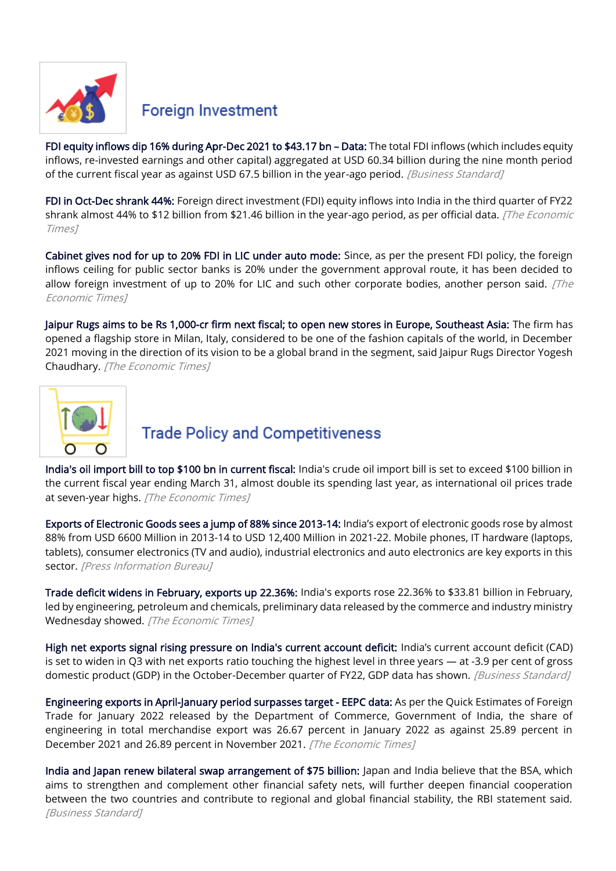

#### **Foreign Investment**

[FDI equity inflows dip 16% during Apr-Dec 2021 to \\$43.17 bn](https://www.business-standard.com/article/economy-policy/fdi-equity-inflows-dip-16-during-apr-dec-2021-to-43-17-bn-data-122022501119_1.html) - Data: The total FDI inflows (which includes equity inflows, re-invested earnings and other capital) aggregated at USD 60.34 billion during the nine month period of the current fiscal year as against USD 67.5 billion in the year-ago period. [Business Standard]

[FDI in Oct-Dec shrank 44%:](https://economictimes.indiatimes.com/news/economy/finance/fdi-in-oct-dec-shrank-44/articleshow/89834076.cms) Foreign direct investment (FDI) equity inflows into India in the third quarter of FY22 shrank almost 44% to \$12 billion from \$21.46 billion in the year-ago period, as per official data. [The Economic Times]

[Cabinet gives nod for up to 20% FDI in LIC under auto mode:](https://economictimes.indiatimes.com/news/economy/policy/cabinet-gives-nod-for-up-to-20-fdi-in-lic-under-auto-mode/articleshow/89861114.cms) Since, as per the present FDI policy, the foreign inflows ceiling for public sector banks is 20% under the government approval route, it has been decided to allow foreign investment of up to 20% for LIC and such other corporate bodies, another person said.  $[The$ Economic Times]

[Jaipur Rugs aims to be Rs 1,000-cr firm next fiscal; to open new stores in Europe, Southeast Asia:](https://economictimes.indiatimes.com/industry/cons-products/garments-/-textiles/jaipur-rugs-aims-to-be-rs-1000-cr-firm-next-fiscal-to-open-new-stores-in-europe-southeast-asia/articleshow/89868277.cms) The firm has opened a flagship store in Milan, Italy, considered to be one of the fashion capitals of the world, in December 2021 moving in the direction of its vision to be a global brand in the segment, said Jaipur Rugs Director Yogesh Chaudhary. [The Economic Times]



## **Trade Policy and Competitiveness**

[India's oil import bill to top \\$100 bn in current fiscal:](https://economictimes.indiatimes.com/news/economy/finance/indias-oil-import-bill-to-top-100-bn-in-current-fiscal/articleshow/89865935.cms) India's crude oil import bill is set to exceed \$100 billion in the current fiscal year ending March 31, almost double its spending last year, as international oil prices trade at seven-year highs. [The Economic Times]

[Exports of Electronic Goods sees a jump of 88% since 2013-14:](https://pib.gov.in/PressReleaseIframePage.aspx?PRID=1801781) India's export of electronic goods rose by almost 88% from USD 6600 Million in 2013-14 to USD 12,400 Million in 2021-22. Mobile phones, IT hardware (laptops, tablets), consumer electronics (TV and audio), industrial electronics and auto electronics are key exports in this sector. [Press Information Bureau]

[Trade deficit widens in February, exports up 22.36%:](https://economictimes.indiatimes.com/news/economy/indicators/trade-deficit-widens-in-february-exports-up-22-36/articleshow/89955325.cms) India's exports rose 22.36% to \$33.81 billion in February, led by engineering, petroleum and chemicals, preliminary data released by the commerce and industry ministry Wednesday showed. [The Economic Times]

[High net exports signal rising pressure on India's current account deficit:](https://www.business-standard.com/article/economy-policy/high-net-exports-signal-rising-pressure-on-india-s-current-account-deficit-122030200056_1.html) India's current account deficit (CAD) is set to widen in Q3 with net exports ratio touching the highest level in three years — at -3.9 per cent of gross domestic product (GDP) in the October-December quarter of FY22, GDP data has shown. [Business Standard]

[Engineering exports in April-January period surpasses target - EEPC data:](https://economictimes.indiatimes.com/news/economy/foreign-trade/engineering-exports-in-april-january-period-surpasses-target-eepc-data/articleshow/89896067.cms) As per the Quick Estimates of Foreign Trade for January 2022 released by the Department of Commerce, Government of India, the share of engineering in total merchandise export was 26.67 percent in January 2022 as against 25.89 percent in December 2021 and 26.89 percent in November 2021. [The Economic Times]

[India and Japan renew bilateral swap arrangement of \\$75 billion:](https://www.business-standard.com/article/economy-policy/india-and-japan-renew-bilateral-swap-arrangement-of-75-billion-122022800781_1.html) Japan and India believe that the BSA, which aims to strengthen and complement other financial safety nets, will further deepen financial cooperation between the two countries and contribute to regional and global financial stability, the RBI statement said. [Business Standard]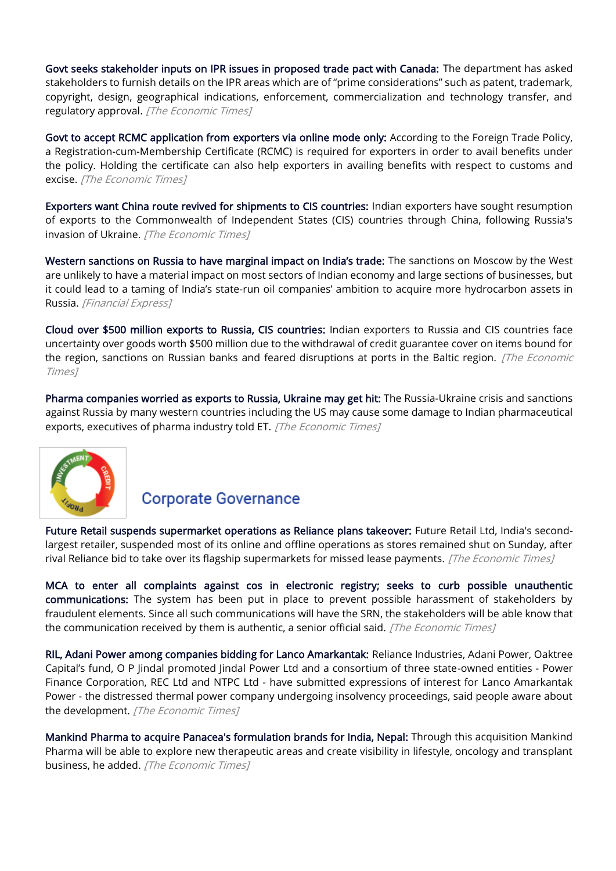[Govt seeks stakeholder inputs on IPR issues in proposed trade pact with Canada:](https://economictimes.indiatimes.com/news/economy/foreign-trade/govt-seeks-stakeholder-inputs-on-ipr-issues-in-proposed-trade-pact-with-canada/articleshow/89954298.cms) The department has asked stakeholders to furnish details on the IPR areas which are of "prime considerations" such as patent, trademark, copyright, design, geographical indications, enforcement, commercialization and technology transfer, and regulatory approval. [The Economic Times]

[Govt to accept RCMC application from exporters via online mode only:](https://economictimes.indiatimes.com/news/economy/foreign-trade/govt-to-accept-rcmc-application-from-exporters-via-online-mode-only/articleshow/89869687.cms) According to the Foreign Trade Policy, a Registration-cum-Membership Certificate (RCMC) is required for exporters in order to avail benefits under the policy. Holding the certificate can also help exporters in availing benefits with respect to customs and excise. [The Economic Times]

[Exporters want China route revived for shipments to CIS countries:](https://economictimes.indiatimes.com/news/economy/foreign-trade/exporters-want-china-route-revived-for-shipments-to-cis-countries/articleshow/89955038.cms) Indian exporters have sought resumption of exports to the Commonwealth of Independent States (CIS) countries through China, following Russia's invasion of Ukraine. [The Economic Times]

[Western sanctions on Russia to have marginal impact on India's trade:](https://www.financialexpress.com/economy/western-sanctions-on-russia-to-have-marginal-impact-on-indias-trade/2445084/) The sanctions on Moscow by the West are unlikely to have a material impact on most sectors of Indian economy and large sections of businesses, but it could lead to a taming of India's state-run oil companies' ambition to acquire more hydrocarbon assets in Russia. [Financial Express]

[Cloud over \\$500 million exports to Russia, CIS countries:](https://economictimes.indiatimes.com/news/economy/foreign-trade/cloud-over-500-million-exports-to-russia-cis-countries/articleshow/89881627.cms) Indian exporters to Russia and CIS countries face uncertainty over goods worth \$500 million due to the withdrawal of credit guarantee cover on items bound for the region, sanctions on Russian banks and feared disruptions at ports in the Baltic region. [The Economic Times]

[Pharma companies worried as exports to Russia, Ukraine may get hit:](https://economictimes.indiatimes.com/news/economy/foreign-trade/pharma-companies-worried-as-exports-to-russia-ukraine-may-get-hit/articleshow/89810667.cms) The Russia-Ukraine crisis and sanctions against Russia by many western countries including the US may cause some damage to Indian pharmaceutical exports, executives of pharma industry told ET. [The Economic Times]



#### **Corporate Governance**

[Future Retail suspends supermarket operations as Reliance plans takeover:](https://economictimes.indiatimes.com/industry/services/retail/future-retail-suspends-supermarket-operations-as-reliance-plans-takeover/articleshow/89866188.cms) Future Retail Ltd, India's secondlargest retailer, suspended most of its online and offline operations as stores remained shut on Sunday, after rival Reliance bid to take over its flagship supermarkets for missed lease payments. [The Economic Times]

[MCA to enter all complaints against cos in electronic registry; seeks to curb possible unauthentic](https://economictimes.indiatimes.com/news/economy/policy/mca-to-enter-all-complaints-against-cos-in-electronic-registry-seeks-to-curb-possible-unauthentic-communications/articleshow/89867489.cms)  [communications:](https://economictimes.indiatimes.com/news/economy/policy/mca-to-enter-all-complaints-against-cos-in-electronic-registry-seeks-to-curb-possible-unauthentic-communications/articleshow/89867489.cms) The system has been put in place to prevent possible harassment of stakeholders by fraudulent elements. Since all such communications will have the SRN, the stakeholders will be able know that the communication received by them is authentic, a senior official said.  $[The Economic Times]$ 

[RIL, Adani Power among companies bidding for Lanco Amarkantak:](https://economictimes.indiatimes.com/industry/energy/power/ril-adani-power-among-companies-bidding-for-lanco-amarkantak/articleshow/89835935.cms) Reliance Industries, Adani Power, Oaktree Capital's fund, O P Jindal promoted Jindal Power Ltd and a consortium of three state-owned entities - Power Finance Corporation, REC Ltd and NTPC Ltd - have submitted expressions of interest for Lanco Amarkantak Power - the distressed thermal power company undergoing insolvency proceedings, said people aware about the development. [The Economic Times]

[Mankind Pharma to acquire Panacea's formulation brands for India, Nepal:](https://economictimes.indiatimes.com/industry/healthcare/biotech/pharmaceuticals/mankind-pharma-to-acquire-panaceas-formulation-brands-for-india-nepal/articleshow/89905283.cms) Through this acquisition Mankind Pharma will be able to explore new therapeutic areas and create visibility in lifestyle, oncology and transplant business, he added. [The Economic Times]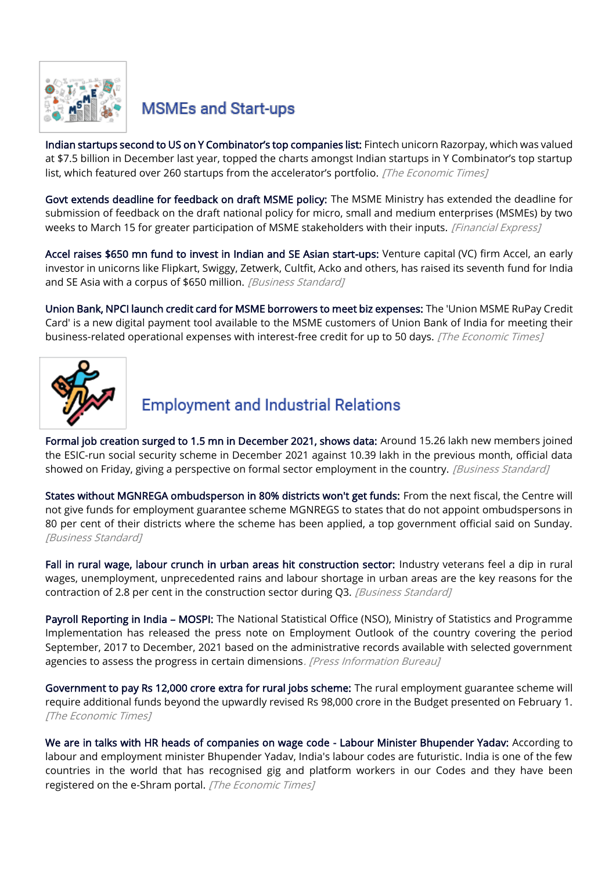

## **MSMEs and Start-ups**

[Indian startups second to US on Y Combinator's top companies list:](https://economictimes.indiatimes.com/tech/startups/india-tops-the-chart-after-us-in-y-combinators-top-companies-list/articleshow/89905360.cms) Fintech unicorn Razorpay, which was valued at \$7.5 billion in December last year, topped the charts amongst Indian startups in Y Combinator's top startup list, which featured over 260 startups from the accelerator's portfolio. [The Economic Times]

[Govt extends deadline for feedback on draft MSME policy:](https://www.financialexpress.com/industry/sme/msme-eodb-govt-extends-deadline-for-feedback-on-draft-msme-policy/2450310/) The MSME Ministry has extended the deadline for submission of feedback on the draft national policy for micro, small and medium enterprises (MSMEs) by two weeks to March 15 for greater participation of MSME stakeholders with their inputs. [Financial Express]

[Accel raises \\$650 mn fund to invest in Indian and SE Asian start-ups:](https://www.business-standard.com/article/companies/accel-raises-650-mn-fund-to-invest-in-indian-and-se-asian-start-ups-122030201221_1.html) Venture capital (VC) firm Accel, an early investor in unicorns like Flipkart, Swiggy, Zetwerk, Cultfit, Acko and others, has raised its seventh fund for India and SE Asia with a corpus of \$650 million. [Business Standard]

[Union Bank, NPCI launch credit card for MSME borrowers to meet biz expenses:](https://economictimes.indiatimes.com/small-biz/sme-sector/union-bank-npci-launch-credit-card-for-msme-borrowers-to-meet-biz-expenses/articleshow/89841815.cms) The 'Union MSME RuPay Credit Card' is a new digital payment tool available to the MSME customers of Union Bank of India for meeting their business-related operational expenses with interest-free credit for up to 50 days. [The Economic Times]



# **Employment and Industrial Relations**

[Formal job creation surged to 1.5 mn in December 2021, shows data:](https://www.business-standard.com/article/economy-policy/formal-job-creation-surged-to-1-5-mn-in-december-2021-shows-data-122022500905_1.html) Around 15.26 lakh new members joined the ESIC-run social security scheme in December 2021 against 10.39 lakh in the previous month, official data showed on Friday, giving a perspective on formal sector employment in the country. [Business Standard]

[States without MGNREGA ombudsperson in 80% districts won't get funds:](https://www.business-standard.com/article/economy-policy/states-without-mgnrega-ombudsperson-in-80-districts-won-t-get-funds-122022700811_1.html) From the next fiscal, the Centre will not give funds for employment guarantee scheme MGNREGS to states that do not appoint ombudspersons in 80 per cent of their districts where the scheme has been applied, a top government official said on Sunday. [Business Standard]

[Fall in rural wage, labour crunch in urban areas hit construction sector:](https://www.business-standard.com/article/economy-policy/fall-in-rural-wage-labour-crunch-in-urban-areas-hit-construction-sector-122030200062_1.html) Industry veterans feel a dip in rural wages, unemployment, unprecedented rains and labour shortage in urban areas are the key reasons for the contraction of 2.8 per cent in the construction sector during Q3. [Business Standard]

[Payroll Reporting in India](https://pib.gov.in/PressReleasePage.aspx?PRID=1800979) - MOSPI: The National Statistical Office (NSO), Ministry of Statistics and Programme Implementation has released the press note on Employment Outlook of the country covering the period September, 2017 to December, 2021 based on the administrative records available with selected government agencies to assess the progress in certain dimensions. [Press Information Bureau]

[Government to pay Rs 12,000 crore extra for rural jobs scheme:](https://economictimes.indiatimes.com/news/economy/policy/government-to-pay-rs-12000-crore-extra-for-rural-jobs-scheme/articleshow/89954897.cms) The rural employment guarantee scheme will require additional funds beyond the upwardly revised Rs 98,000 crore in the Budget presented on February 1. [The Economic Times]

[We are in talks with HR heads of companies on wage code - Labour Minister Bhupender Yadav:](https://economictimes.indiatimes.com/news/economy/policy/were-in-talks-with-hr-heads-of-companies-on-wage-code-labour-minister-bhupender-yadav/articleshow/89931436.cms) According to labour and employment minister Bhupender Yadav, India's labour codes are futuristic. India is one of the few countries in the world that has recognised gig and platform workers in our Codes and they have been registered on the e-Shram portal. [The Economic Times]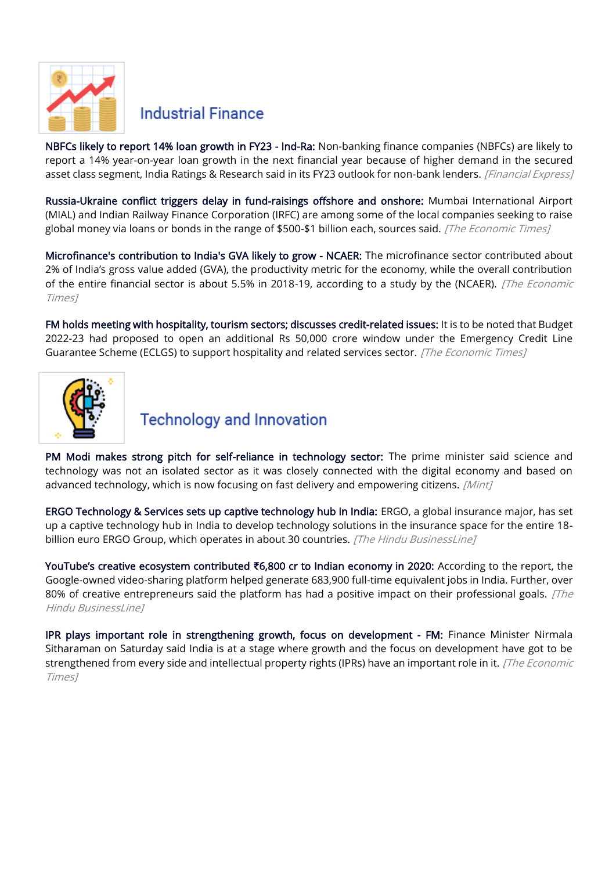

#### **Industrial Finance**

[NBFCs likely to report 14% loan growth in FY23 - Ind-Ra:](https://www.financialexpress.com/industry/banking-finance/nbfcs-likely-to-report-14-loan-growth-in-fy23-ind-ra/2444850/) Non-banking finance companies (NBFCs) are likely to report a 14% year-on-year loan growth in the next financial year because of higher demand in the secured asset class segment, India Ratings & Research said in its FY23 outlook for non-bank lenders. [Financial Express]

[Russia-Ukraine conflict triggers delay in fund-raisings offshore and onshore:](https://economictimes.indiatimes.com/news/economy/finance/russia-ukraine-conflict-triggers-delay-in-fund-raisings-offshore-and-onshore/articleshow/89913669.cms) Mumbai International Airport (MIAL) and Indian Railway Finance Corporation (IRFC) are among some of the local companies seeking to raise global money via loans or bonds in the range of \$500-\$1 billion each, sources said. [The Economic Times]

[Microfinance's contribution to India's GVA likely to grow - NCAER:](https://economictimes.indiatimes.com/industry/banking/finance/microfinances-contribution-to-indias-gva-likely-to-grow-says-ncaer/articleshow/89947814.cms) The microfinance sector contributed about 2% of India's gross value added (GVA), the productivity metric for the economy, while the overall contribution of the entire financial sector is about 5.5% in 2018-19, according to a study by the (NCAER). [The Economic Times]

[FM holds meeting with hospitality, tourism sectors; discusses credit-related issues:](https://economictimes.indiatimes.com/news/economy/policy/fm-holds-meeting-with-hospitality-tourism-sectors-discusses-credit-related-issues/articleshow/89822245.cms) It is to be noted that Budget 2022-23 had proposed to open an additional Rs 50,000 crore window under the Emergency Credit Line Guarantee Scheme (ECLGS) to support hospitality and related services sector. [The Economic Times]



### **Technology and Innovation**

[PM Modi makes strong pitch for self-reliance in technology sector:](https://www.livemint.com/news/india/pm-modi-makes-strong-pitch-for-self-reliance-in-technology-sector-11646201495121.html) The prime minister said science and technology was not an isolated sector as it was closely connected with the digital economy and based on advanced technology, which is now focusing on fast delivery and empowering citizens. [Mint]

[ERGO Technology & Services sets up captive technology hub in India:](https://www.thehindubusinessline.com/info-tech/ergo-technology-services-sets-up-captive-technology-hub-in-india/article65187817.ece) ERGO, a global insurance major, has set up a captive technology hub in India to develop technology solutions in the insurance space for the entire 18 billion euro ERGO Group, which operates in about 30 countries. [The Hindu BusinessLine]

[YouTube's creative ecosystem contributed](https://www.thehindubusinessline.com/info-tech/social-media/youtubes-creative-ecosystem-contributed-6800-cr-to-indian-economy-in-2020/article65186825.ece) **₹**6,800 cr to Indian economy in 2020: According to the report, the Google-owned video-sharing platform helped generate 683,900 full-time equivalent jobs in India. Further, over 80% of creative entrepreneurs said the platform has had a positive impact on their professional goals.  $\int$ *The* Hindu BusinessLine]

[IPR plays important role in strengthening growth, focus on development - FM:](https://economictimes.indiatimes.com/news/economy/policy/ipr-plays-important-role-in-strengthening-growth-focus-on-development-fm/articleshow/89849765.cms) Finance Minister Nirmala Sitharaman on Saturday said India is at a stage where growth and the focus on development have got to be strengthened from every side and intellectual property rights (IPRs) have an important role in it. [The Economic Times]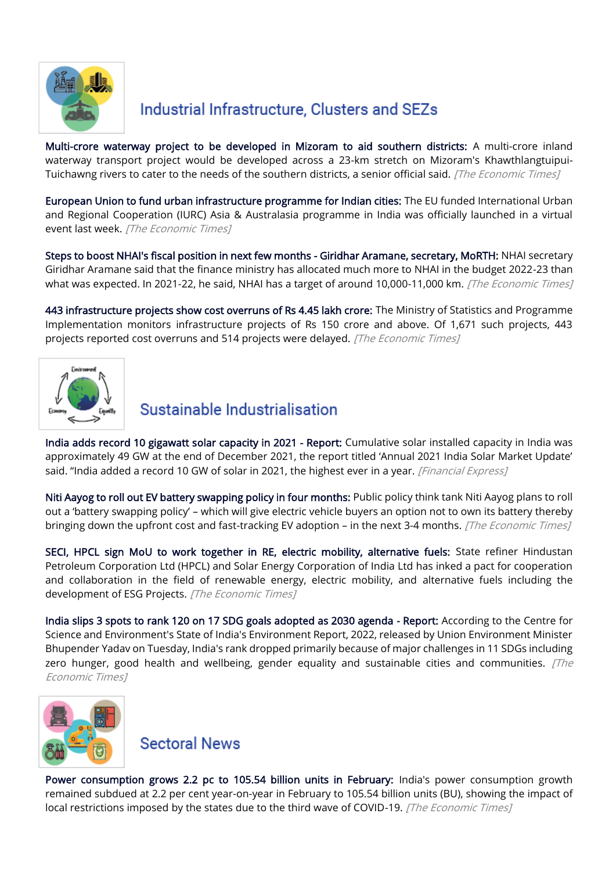

## Industrial Infrastructure, Clusters and SEZs

[Multi-crore waterway project to be developed in Mizoram to aid southern districts:](https://economictimes.indiatimes.com/news/economy/infrastructure/multi-crore-waterway-project-to-be-developed-in-mizoram-to-aid-southern-districts/articleshow/89964695.cms) A multi-crore inland waterway transport project would be developed across a 23-km stretch on Mizoram's Khawthlangtuipui-Tuichawng rivers to cater to the needs of the southern districts, a senior official said. [The Economic Times]

[European Union to fund urban infrastructure programme for Indian cities:](https://economictimes.indiatimes.com/news/economy/infrastructure/european-union-to-fund-urban-infrastructure-programme-for-indian-cities/articleshow/89919882.cms) The EU funded International Urban and Regional Cooperation (IURC) Asia & Australasia programme in India was officially launched in a virtual event last week. [The Economic Times]

[Steps to boost NHAI's fiscal position in next few months - Giridhar Aramane, secretary, MoRTH:](https://economictimes.indiatimes.com/news/economy/infrastructure/steps-to-boost-nhais-fiscal-position-in-next-few-months-giridhar-aramane/articleshow/89878153.cms) NHAI secretary Giridhar Aramane said that the finance ministry has allocated much more to NHAI in the budget 2022-23 than what was expected. In 2021-22, he said, NHAI has a target of around 10,000-11,000 km. [The Economic Times]

[443 infrastructure projects show cost overruns of Rs 4.45 lakh crore:](https://economictimes.indiatimes.com/news/economy/finance/443-infrastructure-projects-show-cost-overruns-of-rs-4-45-lakh-crore/articleshow/89863966.cms) The Ministry of Statistics and Programme Implementation monitors infrastructure projects of Rs 150 crore and above. Of 1,671 such projects, 443 projects reported cost overruns and 514 projects were delayed. [The Economic Times]



### Sustainable Industrialisation

[India adds record 10 gigawatt solar capacity in 2021 - Report:](https://www.financialexpress.com/economy/india-adds-record-10-gigawatt-solar-capacity-in-2021-report/2449001/) Cumulative solar installed capacity in India was approximately 49 GW at the end of December 2021, the report titled 'Annual 2021 India Solar Market Update' said. "India added a record 10 GW of solar in 2021, the highest ever in a year. [Financial Express]

[Niti Aayog to roll out EV battery swapping policy in four months:](https://economictimes.indiatimes.com/industry/renewables/niti-aayog-to-roll-out-ev-battery-swapping-policy-in-four-months/articleshow/89835938.cms) Public policy think tank Niti Aayog plans to roll out a 'battery swapping policy' – which will give electric vehicle buyers an option not to own its battery thereby bringing down the upfront cost and fast-tracking EV adoption – in the next 3-4 months. [The Economic Times]

[SECI, HPCL sign MoU to work together in RE, electric mobility, alternative fuels:](https://economictimes.indiatimes.com/industry/renewables/seci-hpcl-sign-mou-to-work-together-in-re-electric-mobility-alternative-fuels/articleshow/89901059.cms) State refiner Hindustan Petroleum Corporation Ltd (HPCL) and Solar Energy Corporation of India Ltd has inked a pact for cooperation and collaboration in the field of renewable energy, electric mobility, and alternative fuels including the development of ESG Projects. [The Economic Times]

[India slips 3 spots to rank 120 on 17 SDG goals adopted as 2030 agenda - Report:](https://economictimes.indiatimes.com/news/economy/indicators/india-slips-3-spots-to-rank-120-on-17-sdg-goals-adopted-as-2030-agenda-report/articleshow/89924013.cms) According to the Centre for Science and Environment's State of India's Environment Report, 2022, released by Union Environment Minister Bhupender Yadav on Tuesday, India's rank dropped primarily because of major challenges in 11 SDGs including zero hunger, good health and wellbeing, gender equality and sustainable cities and communities.  $\sqrt{The}$ Economic Times]



**Sectoral News** 

[Power consumption grows 2.2 pc to 105.54 billion units in February:](https://economictimes.indiatimes.com/news/economy/indicators/power-consumption-grows-2-2-pc-to-105-54-billion-units-in-february/articleshow/89919607.cms) India's power consumption growth remained subdued at 2.2 per cent year-on-year in February to 105.54 billion units (BU), showing the impact of local restrictions imposed by the states due to the third wave of COVID-19. [The Economic Times]